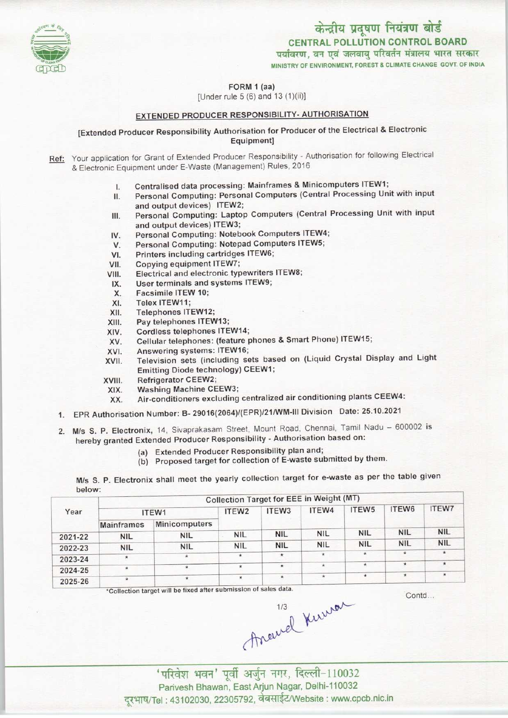

CENTRAL POLLUTION CONTROL BOARD<br>पर्यावरण, वन एवं जलवायु परिवर्तन मंत्रालय भारत सरकार

MINISTRY OF ENVIRONMENT, FOREST & CLIMATE CHANGE GOVT. OF INDIA



[Under rule 5 (6) and 13(1)(ii)]

## EXTENDED PRODUCER RESPONSIBILITY- AUTHORISATION

[Extended Producer Responsibility Authorisation for Producer ofthe Electrical & Electronic Equipment]

Ref: Your application for Grant of Extended Producer Responsibility - Authorisation for following Electrical & Electronic Equipment under E-Waste (Management) Rules, 2016

- 
- I. Centralised data processing: Mainframes & Minicomputers ITEW1;<br>II. Personal Computing: Personal Computers (Central Processing Uni Personal Computing: Personal Computers (Central Processing Unit with input and output devices) ITEW2;
- III. Personal Computing: Laptop Computers (Central Processing Unit with input and output devices) ITEW3; III. Personal Computing: Laptop Computers (Central<br>and output devices) ITEW3;<br>IV. Personal Computing: Notebook Computers ITEW4; and output devices) ITEW3;<br>
V. Personal Computing: Notebook Computers ITEW-<br>
V. Personal Computing: Notepad Computers ITEW5<br>
V. Personal Computing cartridges ITEW6;
- V. Personal Computing: Notebook Con<br>V. Personal Computing: Notepad Comp<br>VI. Printers including cartridges ITEW6;<br>VI. Copying equipment ITEW7:
- V. Personal Computing: Notepad Computers ITEW5;<br>VII. Printers including cartridges ITEW6;<br>VIII. Copying equipment ITEW7;<br>VIII. Electrical and electronic typewriters ITEW8;
- 
- 
- VI. Printers including cartridges ITEW6;<br>VII. Copying equipment ITEW7;<br>VIII. Electrical and electronic typewriters ITEW8;<br>IX. Her terminals and systems ITEW9; V. Copying equipment ITEW7;<br>III. Electrical and electronic typewriters<br>IX. User terminals and systems ITEW9;<br>Y. Eacsimile ITEW 10: III. Electrical and elect<br>X. User terminals and<br>X. Facsimile ITEW 10;<br>XI. Telex ITEW11:
- IX. User terminals and systems ITEW9;<br>X. Facsimile ITEW 10;<br>XI. Telex ITEW11;<br>XII. Telephones ITEW12;
- 
- 
- XII. Telephones ITEW12;<br>XIII. Pay telephones ITEW
- 
- XIII. Pay telephones ITEW13;<br>XIV. Cordless telephones ITE XIV. Cordless telephones ITEW14;<br>XV. Cellular telephones: (feature p XIV. Cordless telephones ITEW14<br>XV. Cellular telephones: (feature<br>XVI. Answering systems: ITEW16;<br>XVII. Television sets (including s
- XIII. Pay telephones ITEW13;<br>XIV. Cordiess telephones ITEW14;<br>XV. Cellular telephones: (feature phones & Smart Phone) ITEW15;
- 
- XV. Cellular telephones: (feature phones & Smart Phone) ITEW15;<br>XVI. Answering systems: ITEW16;<br>XVII. Television sets (including sets based on (Liquid Crystal Display and Light<br>XVII. Television sets (including sets based o Emitting Diode technology) CEEW1; XVII. Television sets (inc.<br>Emitting Diode techn<br>XVIII. Refrigerator CEEW2;<br>XIX. Washing Machine Cl
- 
- XVIII. Refrigerator CEEW2;<br>XIX. Washing Machine CEEW3;
	- XX. Air-conditioners excluding centralized air conditioning plants CEEW4:
- 1.EPR Authorisation Number: B- 29016(2064)/(EPR)/21/WM-lll Division Date: 25.10.2021
- 2. M/s S. P. Electronix, 14, Sivaprakasam Street, Mount Road, Chennai, Tamil Nadu 600002 is hereby granted Extended Producer Responsibility - Authorisation based on:
	- (a) Extended Producer Responsibility plan and;
	- (b) Proposed target for collection of E-waste submitted by them.

M/s S. P. Electronix shall meet the yearly collection target for e-waste as per the table given below

|         | Collection Target for EEE in Weight (MT) |               |                   |                   |            |                   |            |              |  |  |
|---------|------------------------------------------|---------------|-------------------|-------------------|------------|-------------------|------------|--------------|--|--|
| Year    | ITEW1                                    |               | ITEW <sub>2</sub> | ITEW <sub>3</sub> | ITEW4      | ITEW <sub>5</sub> | ITEW6      | <b>ITEW7</b> |  |  |
|         | <b>Mainframes</b>                        | Minicomputers |                   |                   |            |                   |            |              |  |  |
| 2021-22 | <b>NIL</b>                               | <b>NIL</b>    | <b>NIL</b>        | <b>NIL</b>        | <b>NIL</b> | <b>NIL</b>        | <b>NIL</b> | <b>NIL</b>   |  |  |
| 2022-23 | <b>NIL</b>                               | <b>NIL</b>    | <b>NIL</b>        | <b>NIL</b>        | <b>NIL</b> | <b>NIL</b>        | <b>NIL</b> | <b>NIL</b>   |  |  |
| 2023-24 |                                          | $\star$       | $\star$           |                   |            |                   |            | $\star$      |  |  |
| 2024-25 | $\star$                                  |               | $\star$           | $\star$           | $\star$    | ÷.                | ÷          |              |  |  |
| 2025-26 | $\mathbf{r}$                             | $\star$       | $\star$           | $\star$           |            | ÷                 | $\star$    |              |  |  |

Contd...

'Collection target will be fixed after submission of sales data.<br>1/3

' परिवेश भवन' पूर्वी अर्जुन नगर, दिल्ली-110032 Parivesh Bhawan, East Arjun Nagar, Delhi-110032 दरभाष/Tel : 43102030, 22305792, वेबसाईट/Website : www.cpcb.nic.in

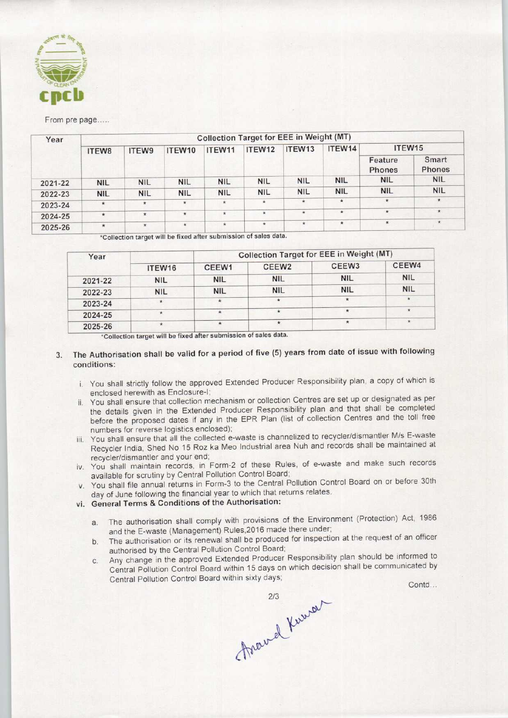

From pre page.....

| Year    | Collection Target for EEE in Weight (MT) |            |            |              |            |            |            |                    |                 |  |  |
|---------|------------------------------------------|------------|------------|--------------|------------|------------|------------|--------------------|-----------------|--|--|
|         | ITEW8                                    | ITEW9      | ITEW10     | ITEW11       | ITEW12     | ITEW13     | ITEW14     | ITEW <sub>15</sub> |                 |  |  |
|         |                                          |            |            |              |            |            |            | Feature<br>Phones  | Smart<br>Phones |  |  |
| 2021-22 | <b>NIL</b>                               | <b>NIL</b> | <b>NIL</b> | <b>NIL</b>   | <b>NIL</b> | <b>NIL</b> | <b>NIL</b> | <b>NIL</b>         | <b>NIL</b>      |  |  |
| 2022-23 | <b>NIL</b>                               | <b>NIL</b> | <b>NIL</b> | <b>NIL</b>   | <b>NIL</b> | <b>NIL</b> | <b>NIL</b> | <b>NIL</b>         | <b>NIL</b>      |  |  |
| 2023-24 | $\star$                                  | $\star$    | $\star$    | $\star$      | $\star$    | $\star$    | $\star$    | $\star$            | $\star$         |  |  |
| 2024-25 | $\star$                                  | $\star$    | $\star$    | $\pmb{\ast}$ | $\star$    | $\star$    | $\star$    | $\star$            | $\star$         |  |  |
| 2025-26 | $\star$                                  | $\star$    | $\star$    | $\ast$       | $\star$    | $\star$    | $\star$    | $\star$            | $\star$         |  |  |

\*Collection target will be fixed after submission of sales data.

| Year    |            |            | <b>Collection Target for EEE in Weight (MT)</b> |                   |            |
|---------|------------|------------|-------------------------------------------------|-------------------|------------|
|         | ITEW16     | CEEW1      | CEEW <sub>2</sub>                               | CEEW <sub>3</sub> | CEEW4      |
| 2021-22 | <b>NIL</b> | <b>NIL</b> | <b>NIL</b>                                      | <b>NIL</b>        | <b>NIL</b> |
| 2022-23 | <b>NIL</b> | <b>NIL</b> | <b>NIL</b>                                      | <b>NIL</b>        | <b>NIL</b> |
| 2023-24 | $\star$    |            | <b>W</b>                                        | $\star$           |            |
| 2024-25 | 米          |            |                                                 | $\star$           | $\star$    |
| 2025-26 |            | $\star$    |                                                 | $\star$           |            |

'Collection target will be fixed aftersubmission of sales data.

## 3. The Authorisation shall be valid for a period of five (5) years from date of issue with following conditions'.

- i. You shall strictly follow the approved Extended Producer Responsibility plan, a copy of which is enclosed herewith as Enclosure-I;
- ii. You shall ensure that collection mechanism or collection Centres are set up or designated as per the details given in the Extended Producer Responsibility plan and that shall be completed before the proposed dates if any in the EPR Plan (list of collection Centres and the toll free numbers for reverse logistics enclosed);
- iii. You shall ensure that all the collected e-waste is channelized to recycler/dismantler M/s E-waste Recycler India, Shed No 15 Roz ka Meo Industrial area Nuh and records shall be maintained at recycler/dismantler and your end;
- iv. You shall maintain records, in Form-2 of these Rules, of e-waste and make such records available for scrutiny by Central Pollution Control Board;
- v. You shall file annual returns in Form-3 to the Central Pollution Control Board on or before 30th day of June following the financial year to which that returns relates.
- vi. General Terms & Conditions of the Authorisation:
	- General Terms & Conditions of the Authorisation:<br>a. The authorisation shall comply with provisions of the Environment (Protection) Act, 1986 and the E-waste (Management) Rules,2016 made there under; a. The authorisation shall comply with provisions of the Environment (Protection) Act, 1966<br>and the E-waste (Management) Rules, 2016 made there under;<br>b. The authorisation or its renewal shall be produced for inspection at
	- authorised by the Central Pollution Control Board;
- c.Any change in the approved Extended Producer Responsibility plan should be informed to Central Pollution Control Board within 15 days on which decision shall be communicated by betails given in the Extended Producer Responsibility plan and<br>etails given in the Extended Producer Responsibility plan and<br>the that pollution Control Control Control Control<br>cler India, Shed No 15 Roz ka Meo Industrial a ent (Protection) Act, 1986<br>at the request of an officer<br>lan should be informed to<br>shall be communicated by<br>Contd...

Around Knowar